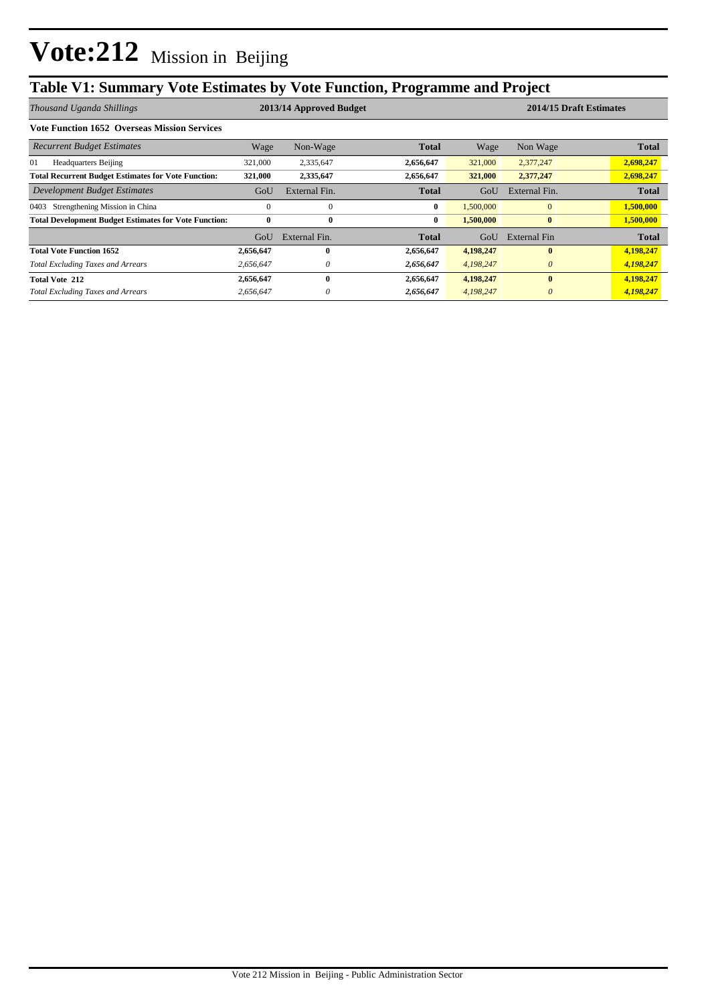### **Table V1: Summary Vote Estimates by Vote Function, Programme and Project**

| Thousand Uganda Shillings                                    |           | 2013/14 Approved Budget |              |           | 2014/15 Draft Estimates |              |  |
|--------------------------------------------------------------|-----------|-------------------------|--------------|-----------|-------------------------|--------------|--|
| <b>Vote Function 1652 Overseas Mission Services</b>          |           |                         |              |           |                         |              |  |
| <b>Recurrent Budget Estimates</b>                            | Wage      | Non-Wage                | <b>Total</b> | Wage      | Non Wage                | <b>Total</b> |  |
| 01<br><b>Headquarters Beijing</b>                            | 321,000   | 2,335,647               | 2,656,647    | 321,000   | 2,377,247               | 2,698,247    |  |
| <b>Total Recurrent Budget Estimates for Vote Function:</b>   | 321,000   | 2,335,647               | 2,656,647    | 321,000   | 2,377,247               | 2,698,247    |  |
| Development Budget Estimates                                 | GoU       | External Fin.           | Total        | GoU       | External Fin.           | <b>Total</b> |  |
| Strengthening Mission in China<br>0403                       | $\Omega$  | $\Omega$                | $\bf{0}$     | 1,500,000 | $\mathbf{0}$            | 1,500,000    |  |
| <b>Total Development Budget Estimates for Vote Function:</b> | $\bf{0}$  | $\bf{0}$                | $\bf{0}$     | 1.500,000 | $\bf{0}$                | 1,500,000    |  |
|                                                              | GoU       | External Fin.           | Total        | GoU       | External Fin            | <b>Total</b> |  |
| <b>Total Vote Function 1652</b>                              | 2,656,647 | 0                       | 2,656,647    | 4,198,247 | $\mathbf{0}$            | 4,198,247    |  |
| <b>Total Excluding Taxes and Arrears</b>                     | 2.656.647 | 0                       | 2,656,647    | 4,198,247 | $\theta$                | 4,198,247    |  |
| <b>Total Vote 212</b>                                        | 2,656,647 | 0                       | 2,656,647    | 4,198,247 | $\mathbf{0}$            | 4,198,247    |  |
| <b>Total Excluding Taxes and Arrears</b>                     | 2,656,647 |                         | 2,656,647    | 4,198,247 | $\theta$                | 4,198,247    |  |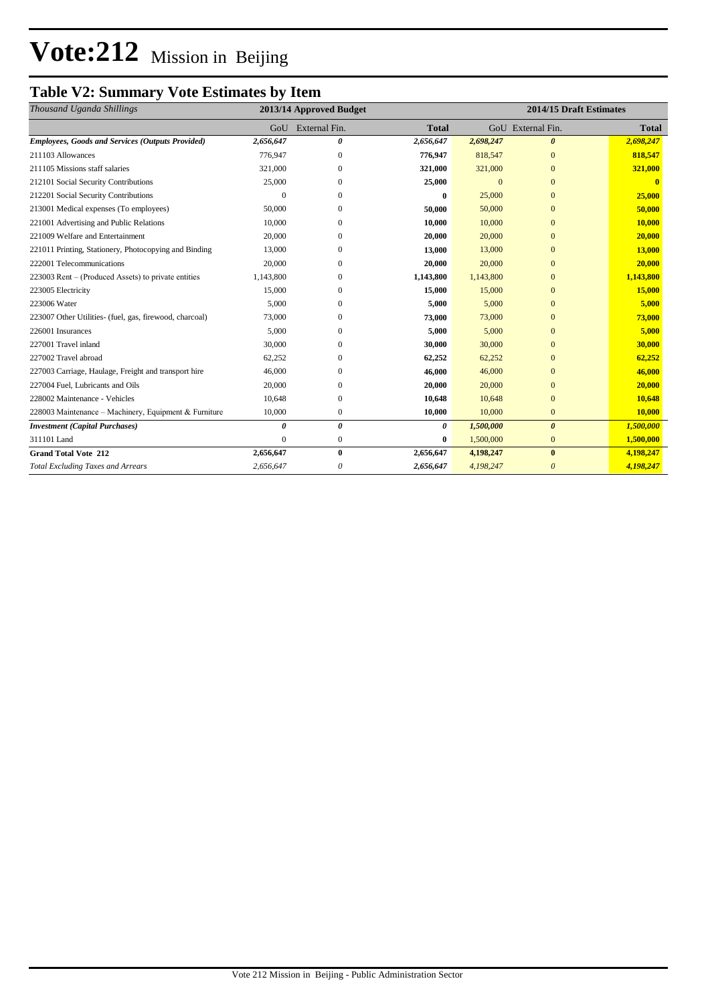## **Vote:212** Mission in Beijing

#### **Table V2: Summary Vote Estimates by Item**

| Thousand Uganda Shillings                               | 2013/14 Approved Budget |                   |              | 2014/15 Draft Estimates |                       |               |
|---------------------------------------------------------|-------------------------|-------------------|--------------|-------------------------|-----------------------|---------------|
|                                                         |                         | GoU External Fin. | <b>Total</b> |                         | GoU External Fin.     | <b>Total</b>  |
| <b>Employees, Goods and Services (Outputs Provided)</b> | 2,656,647               | 0                 | 2,656,647    | 2,698,247               | $\boldsymbol{\theta}$ | 2,698,247     |
| 211103 Allowances                                       | 776,947                 | $\Omega$          | 776,947      | 818,547                 | $\Omega$              | 818,547       |
| 211105 Missions staff salaries                          | 321,000                 | $\mathbf{0}$      | 321,000      | 321,000                 | $\mathbf{0}$          | 321,000       |
| 212101 Social Security Contributions                    | 25,000                  | $\Omega$          | 25,000       | $\Omega$                | $\Omega$              | $\mathbf{0}$  |
| 212201 Social Security Contributions                    |                         | $\Omega$          | 0            | 25,000                  | $\Omega$              | 25,000        |
| 213001 Medical expenses (To employees)                  | 50,000                  | $\Omega$          | 50,000       | 50,000                  | $\mathbf{0}$          | 50,000        |
| 221001 Advertising and Public Relations                 | 10,000                  | $\Omega$          | 10,000       | 10,000                  | $\Omega$              | 10,000        |
| 221009 Welfare and Entertainment                        | 20,000                  | 0                 | 20,000       | 20,000                  | $\Omega$              | 20,000        |
| 221011 Printing, Stationery, Photocopying and Binding   | 13,000                  | $\mathbf{0}$      | 13,000       | 13,000                  | $\mathbf{0}$          | <b>13,000</b> |
| 222001 Telecommunications                               | 20,000                  | $\Omega$          | 20,000       | 20,000                  | $\Omega$              | 20,000        |
| 223003 Rent – (Produced Assets) to private entities     | 1,143,800               | $\Omega$          | 1,143,800    | 1,143,800               | $\Omega$              | 1,143,800     |
| 223005 Electricity                                      | 15,000                  | 0                 | 15,000       | 15,000                  | $\mathbf{0}$          | 15,000        |
| 223006 Water                                            | 5,000                   | $\Omega$          | 5,000        | 5,000                   | $\Omega$              | 5,000         |
| 223007 Other Utilities- (fuel, gas, firewood, charcoal) | 73,000                  | $\Omega$          | 73,000       | 73,000                  | $\Omega$              | 73,000        |
| 226001 Insurances                                       | 5,000                   | 0                 | 5,000        | 5,000                   | $\mathbf{0}$          | 5,000         |
| 227001 Travel inland                                    | 30,000                  | $\Omega$          | 30,000       | 30,000                  | $\Omega$              | 30,000        |
| 227002 Travel abroad                                    | 62,252                  | $\Omega$          | 62,252       | 62,252                  | $\Omega$              | 62,252        |
| 227003 Carriage, Haulage, Freight and transport hire    | 46,000                  | $\mathbf{0}$      | 46,000       | 46,000                  | $\mathbf{0}$          | 46,000        |
| 227004 Fuel, Lubricants and Oils                        | 20,000                  | $\Omega$          | 20,000       | 20,000                  | $\Omega$              | 20,000        |
| 228002 Maintenance - Vehicles                           | 10,648                  | $\mathbf{0}$      | 10,648       | 10,648                  | $\Omega$              | 10,648        |
| 228003 Maintenance – Machinery, Equipment & Furniture   | 10,000                  | $\mathbf{0}$      | 10,000       | 10,000                  | $\mathbf{0}$          | 10,000        |
| <b>Investment</b> (Capital Purchases)                   | $\theta$                | 0                 | 0            | 1,500,000               | $\boldsymbol{\theta}$ | 1,500,000     |
| 311101 Land                                             | $\Omega$                | $\mathbf{0}$      | 0            | 1,500,000               | $\mathbf{0}$          | 1,500,000     |
| <b>Grand Total Vote 212</b>                             | 2,656,647               | $\bf{0}$          | 2,656,647    | 4,198,247               | $\bf{0}$              | 4,198,247     |
| <b>Total Excluding Taxes and Arrears</b>                | 2,656,647               | 0                 | 2,656,647    | 4,198,247               | $\theta$              | 4,198,247     |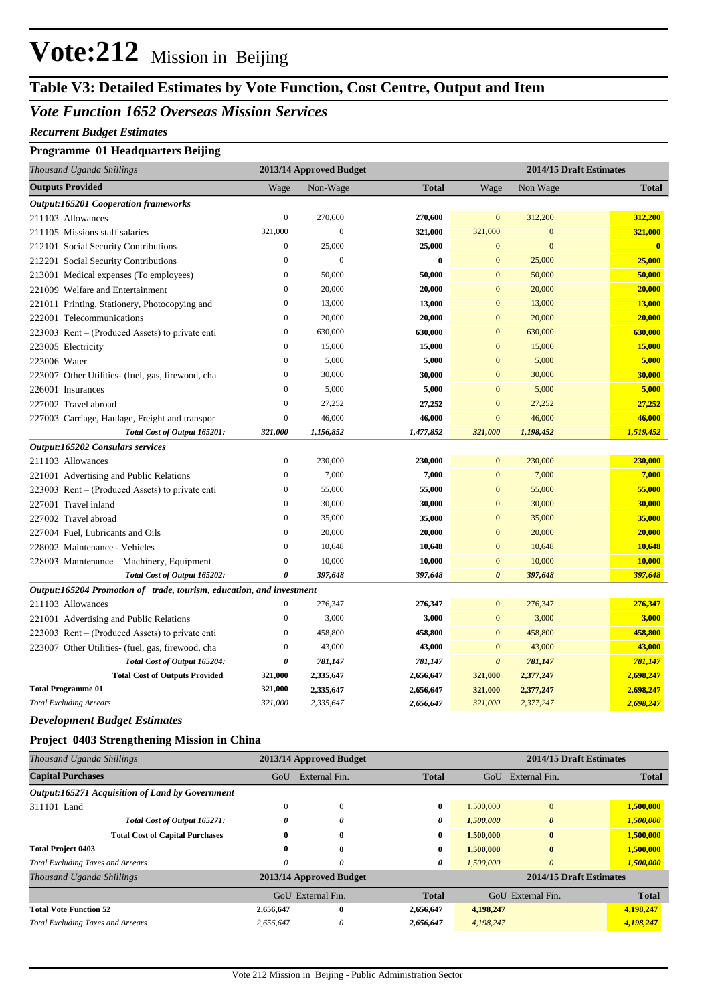### **Vote:212** Mission in Beijing

#### **Table V3: Detailed Estimates by Vote Function, Cost Centre, Output and Item**

#### *Vote Function 1652 Overseas Mission Services*

#### *Recurrent Budget Estimates*

#### **Programme 01 Headquarters Beijing**

| Thousand Uganda Shillings                                            |                  | 2013/14 Approved Budget | 2014/15 Draft Estimates |                       |                  |               |
|----------------------------------------------------------------------|------------------|-------------------------|-------------------------|-----------------------|------------------|---------------|
| <b>Outputs Provided</b>                                              | Wage             | Non-Wage                | <b>Total</b>            | Wage                  | Non Wage         | <b>Total</b>  |
| <b>Output:165201 Cooperation frameworks</b>                          |                  |                         |                         |                       |                  |               |
| 211103 Allowances                                                    | $\mathbf{0}$     | 270,600                 | 270,600                 | $\mathbf{0}$          | 312,200          | 312,200       |
| 211105 Missions staff salaries                                       | 321,000          | $\overline{0}$          | 321,000                 | 321,000               | $\boldsymbol{0}$ | 321,000       |
| 212101 Social Security Contributions                                 | $\boldsymbol{0}$ | 25,000                  | 25,000                  | $\mathbf{0}$          | $\mathbf{0}$     | $\mathbf{0}$  |
| 212201 Social Security Contributions                                 | $\mathbf{0}$     | $\mathbf{0}$            | $\bf{0}$                | $\mathbf{0}$          | 25,000           | 25,000        |
| 213001 Medical expenses (To employees)                               | $\boldsymbol{0}$ | 50,000                  | 50,000                  | $\mathbf{0}$          | 50,000           | 50,000        |
| 221009 Welfare and Entertainment                                     | $\overline{0}$   | 20,000                  | 20,000                  | $\mathbf{0}$          | 20,000           | 20,000        |
| 221011 Printing, Stationery, Photocopying and                        | $\mathbf{0}$     | 13,000                  | 13,000                  | $\mathbf{0}$          | 13,000           | <b>13,000</b> |
| 222001 Telecommunications                                            | $\mathbf{0}$     | 20,000                  | 20,000                  | $\overline{0}$        | 20,000           | 20,000        |
| 223003 Rent – (Produced Assets) to private enti                      | $\mathbf{0}$     | 630,000                 | 630,000                 | $\mathbf{0}$          | 630,000          | 630,000       |
| 223005 Electricity                                                   | $\mathbf{0}$     | 15,000                  | 15,000                  | $\mathbf{0}$          | 15,000           | 15,000        |
| 223006 Water                                                         | $\mathbf{0}$     | 5,000                   | 5,000                   | $\mathbf{0}$          | 5,000            | 5,000         |
| 223007 Other Utilities- (fuel, gas, firewood, cha                    | $\boldsymbol{0}$ | 30,000                  | 30,000                  | $\mathbf{0}$          | 30,000           | 30,000        |
| 226001 Insurances                                                    | $\boldsymbol{0}$ | 5,000                   | 5,000                   | $\mathbf{0}$          | 5,000            | 5,000         |
| 227002 Travel abroad                                                 | $\boldsymbol{0}$ | 27,252                  | 27,252                  | $\mathbf{0}$          | 27,252           | 27,252        |
| 227003 Carriage, Haulage, Freight and transpor                       | $\boldsymbol{0}$ | 46,000                  | 46,000                  | $\mathbf{0}$          | 46,000           | 46,000        |
| Total Cost of Output 165201:                                         | 321,000          | 1,156,852               | 1,477,852               | 321,000               | 1,198,452        | 1,519,452     |
| Output:165202 Consulars services                                     |                  |                         |                         |                       |                  |               |
| 211103 Allowances                                                    | $\boldsymbol{0}$ | 230,000                 | 230,000                 | $\mathbf{0}$          | 230,000          | 230,000       |
| 221001 Advertising and Public Relations                              | $\overline{0}$   | 7,000                   | 7,000                   | $\mathbf{0}$          | 7,000            | 7,000         |
| 223003 Rent – (Produced Assets) to private enti                      | $\overline{0}$   | 55,000                  | 55,000                  | $\overline{0}$        | 55,000           | 55,000        |
| 227001 Travel inland                                                 | $\boldsymbol{0}$ | 30,000                  | 30,000                  | $\mathbf{0}$          | 30,000           | 30,000        |
| 227002 Travel abroad                                                 | $\boldsymbol{0}$ | 35,000                  | 35,000                  | $\mathbf{0}$          | 35,000           | 35,000        |
| 227004 Fuel, Lubricants and Oils                                     | $\overline{0}$   | 20,000                  | 20,000                  | $\overline{0}$        | 20,000           | 20,000        |
| 228002 Maintenance - Vehicles                                        | $\boldsymbol{0}$ | 10,648                  | 10,648                  | $\mathbf{0}$          | 10,648           | 10,648        |
| 228003 Maintenance – Machinery, Equipment                            | $\boldsymbol{0}$ | 10,000                  | 10,000                  | $\mathbf{0}$          | 10,000           | 10,000        |
| Total Cost of Output 165202:                                         | $\theta$         | 397,648                 | 397,648                 | $\boldsymbol{\theta}$ | 397,648          | 397,648       |
| Output:165204 Promotion of trade, tourism, education, and investment |                  |                         |                         |                       |                  |               |
| 211103 Allowances                                                    | $\mathbf{0}$     | 276,347                 | 276,347                 | $\mathbf{0}$          | 276,347          | 276,347       |
| 221001 Advertising and Public Relations                              | $\mathbf{0}$     | 3,000                   | 3,000                   | $\mathbf{0}$          | 3,000            | 3,000         |
| 223003 Rent – (Produced Assets) to private enti                      | $\boldsymbol{0}$ | 458,800                 | 458,800                 | $\mathbf{0}$          | 458,800          | 458,800       |
| 223007 Other Utilities- (fuel, gas, firewood, cha                    | $\boldsymbol{0}$ | 43,000                  | 43,000                  | $\mathbf{0}$          | 43,000           | 43,000        |
| Total Cost of Output 165204:                                         | $\pmb{\theta}$   | 781,147                 | 781,147                 | $\boldsymbol{\theta}$ | 781,147          | 781,147       |
| <b>Total Cost of Outputs Provided</b>                                | 321,000          | 2,335,647               | 2,656,647               | 321,000               | 2,377,247        | 2,698,247     |
| <b>Total Programme 01</b>                                            | 321,000          | 2,335,647               | 2,656,647               | 321,000               | 2,377,247        | 2,698,247     |
| <b>Total Excluding Arrears</b>                                       | 321,000          | 2,335,647               | 2,656,647               | 321,000               | 2,377,247        | 2,698,247     |

*Development Budget Estimates*

#### **Project 0403 Strengthening Mission in China**

| Thousand Uganda Shillings                       |                         | 2013/14 Approved Budget | 2014/15 Draft Estimates |                           |              |  |
|-------------------------------------------------|-------------------------|-------------------------|-------------------------|---------------------------|--------------|--|
| <b>Capital Purchases</b>                        | GoU                     | External Fin.           | <b>Total</b>            | External Fin.<br>GoU      | <b>Total</b> |  |
| Output:165271 Acquisition of Land by Government |                         |                         |                         |                           |              |  |
| 311101 Land                                     | $\Omega$                | $\mathbf{0}$            | $\mathbf{0}$            | $\mathbf{0}$<br>1,500,000 | 1,500,000    |  |
| Total Cost of Output 165271:                    | 0                       | 0                       | 0                       | 1,500,000<br>0            | 1,500,000    |  |
| <b>Total Cost of Capital Purchases</b>          | 0                       | $\bf{0}$                | $\bf{0}$                | 1,500,000<br>$\bf{0}$     | 1,500,000    |  |
| <b>Total Project 0403</b>                       | 0                       | $\bf{0}$                | 0                       | 1,500,000<br>$\mathbf{0}$ | 1,500,000    |  |
| <b>Total Excluding Taxes and Arrears</b>        | 0                       | 0                       | 0                       | 1.500,000<br>$\theta$     | 1,500,000    |  |
| Thousand Uganda Shillings                       | 2013/14 Approved Budget |                         |                         | 2014/15 Draft Estimates   |              |  |
|                                                 | GoU External Fin.       |                         | <b>Total</b>            | External Fin.<br>GoU      | <b>Total</b> |  |
| <b>Total Vote Function 52</b>                   | 2,656,647               | $\bf{0}$                | 2,656,647               | 4,198,247                 | 4,198,247    |  |
| <b>Total Excluding Taxes and Arrears</b>        | 2,656,647               | 0                       | 2,656,647               | 4,198,247                 | 4,198,247    |  |